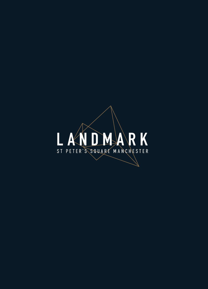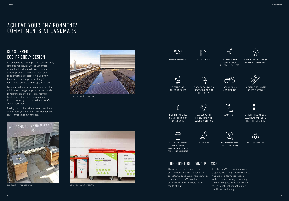## CONSIDERED ECO-FRIENDLY DESIGN

We understand how important sustainability is to businesses. It's why at Landmark, it is at the heart of its design, creating a workspace that is very efficient and cost-effective to operate. It's also why the electricity is supplied entirely from renewable sources and our gas is 'green'.

Landmark's high-performance glazing that minimises solar gains, photovoltaic panels generating on-site electricity, rooftop beehives, and on-site biodiversity and bird boxes, truly bring to life Landmark's ecological vision.

Basing your office in Landmark could help you achieve your own carbon reduction and environmental commitments.



Landmark rooftop solar panels



BREEAM 'EXCELLENT' EPC RATING 'A' ALL ELECTRICITY



PHOTOVOLTAIC PANELS GENERATING ON-SITE **ELECTRICITY** 

# ACHIEVE YOUR ENVIRONMENTAL COMMITMENTS AT LANDMARK

### THE RIGHT BUILDING BLOCKS

SENSOR TAPS **EFFICIENT MECHANICAL**, ELECTRICAL AND PUBLIC HEALTH ENGINEERING



The occupier on the tenth floor, JLL, has leveraged off Landmark's exceptional base build characteristics WELL is a performance-based to secure BREEAM Excellent certification and SKA Gold rating for its fit-out.



BIRD BOXES BIODIVERSITY WITH TREES & PLANTERS

E

JLL also has WELL certification in progress with a high rating expected. system for measuring, monitoring and certifying features of the built environment that impact human health and wellbeing.

**A(92–100) B(81–91) C(69–80) D(55–68) E(39–54) F(21–38) G(1–20)**



SUPPLIED FROM RENEWABLE SOURCES



BIOMETHANE – OTHERWISE KNOWN AS 'GREEN GAS'









POOL BIKES FOR OCCUPIER USE



FOLDABLE BIKE LOCKERS AND CYCLE STORAGE

HIGH-PERFORMANCE GLAZING MINIMISING SOLAR GAINS





LG7-COMPLIANT LED LIGHTING WITH AUTOMATIC SENSORS

**う**  $\leftarrow$ 



ALL TIMBER SOURCED FROM FOREST STEWARDSHIP COUNCIL COMPLIANT SUPPLIERS

ROOFTOP BEEHIVES

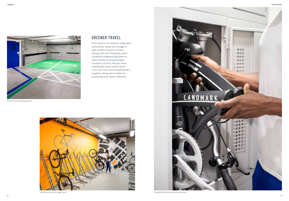

Electric car charging points

![](_page_2_Picture_5.jpeg)

## GREENER TRAVEL

From electric car stations, dedicated cycle lanes, ramp and storage to high-quality showers, lockers, drying room and changing rooms, Landmark enables employees to make healthy and sustainable transport choices. We also have a dedicated cycle maintenance room with tools and complimentary supplies, along with a tablet for accessing cycle repair websites.

![](_page_2_Picture_7.jpeg)

![](_page_2_Picture_10.jpeg)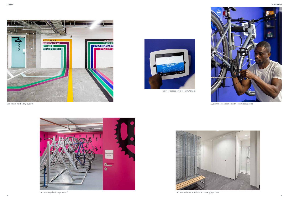Tablet to access cycle repair tutorials

Landmark wayfinding system

![](_page_3_Picture_5.jpeg)

![](_page_3_Picture_6.jpeg)

Landmark cycle storage room 2

![](_page_3_Picture_11.jpeg)

Cycle maintenance hub with essential supplies

![](_page_3_Picture_13.jpeg)

Landmark showers, lockers and changing rooms

![](_page_3_Picture_1.jpeg)

![](_page_3_Picture_2.jpeg)